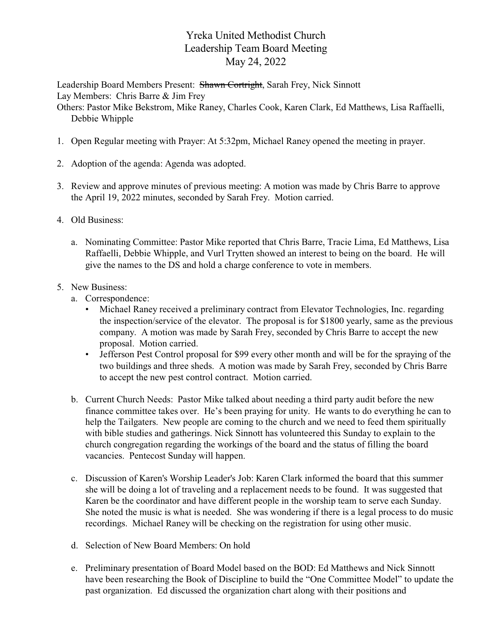## Yreka United Methodist Church Leadership Team Board Meeting May 24, 2022

Leadership Board Members Present: Shawn Cortright, Sarah Frey, Nick Sinnott Lay Members: Chris Barre & Jim Frey

Others: Pastor Mike Bekstrom, Mike Raney, Charles Cook, Karen Clark, Ed Matthews, Lisa Raffaelli, Debbie Whipple

- 1. Open Regular meeting with Prayer: At 5:32pm, Michael Raney opened the meeting in prayer.
- 2. Adoption of the agenda: Agenda was adopted.
- 3. Review and approve minutes of previous meeting: A motion was made by Chris Barre to approve the April 19, 2022 minutes, seconded by Sarah Frey. Motion carried.
- 4. Old Business:
	- a. Nominating Committee: Pastor Mike reported that Chris Barre, Tracie Lima, Ed Matthews, Lisa Raffaelli, Debbie Whipple, and Vurl Trytten showed an interest to being on the board. He will give the names to the DS and hold a charge conference to vote in members.

## 5. New Business:

- a. Correspondence:
	- Michael Raney received a preliminary contract from Elevator Technologies, Inc. regarding the inspection/service of the elevator. The proposal is for \$1800 yearly, same as the previous company. A motion was made by Sarah Frey, seconded by Chris Barre to accept the new proposal. Motion carried.
	- Jefferson Pest Control proposal for \$99 every other month and will be for the spraying of the two buildings and three sheds. A motion was made by Sarah Frey, seconded by Chris Barre to accept the new pest control contract. Motion carried.
- b. Current Church Needs: Pastor Mike talked about needing a third party audit before the new finance committee takes over. He's been praying for unity. He wants to do everything he can to help the Tailgaters. New people are coming to the church and we need to feed them spiritually with bible studies and gatherings. Nick Sinnott has volunteered this Sunday to explain to the church congregation regarding the workings of the board and the status of filling the board vacancies. Pentecost Sunday will happen.
- c. Discussion of Karen's Worship Leader's Job: Karen Clark informed the board that this summer she will be doing a lot of traveling and a replacement needs to be found. It was suggested that Karen be the coordinator and have different people in the worship team to serve each Sunday. She noted the music is what is needed. She was wondering if there is a legal process to do music recordings. Michael Raney will be checking on the registration for using other music.
- d. Selection of New Board Members: On hold
- e. Preliminary presentation of Board Model based on the BOD: Ed Matthews and Nick Sinnott have been researching the Book of Discipline to build the "One Committee Model" to update the past organization. Ed discussed the organization chart along with their positions and